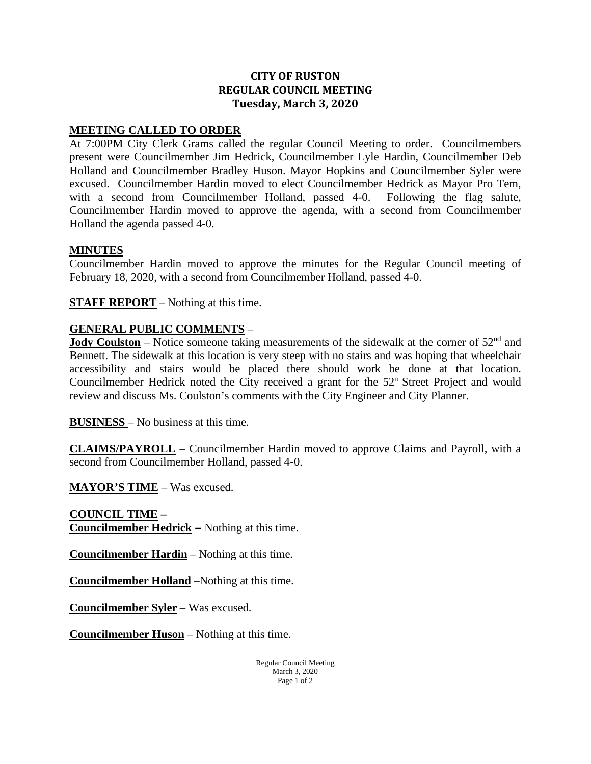## **CITY OF RUSTON REGULAR COUNCIL MEETING Tuesday, March 3, 2020**

## **MEETING CALLED TO ORDER**

At 7:00PM City Clerk Grams called the regular Council Meeting to order. Councilmembers present were Councilmember Jim Hedrick, Councilmember Lyle Hardin, Councilmember Deb Holland and Councilmember Bradley Huson. Mayor Hopkins and Councilmember Syler were excused. Councilmember Hardin moved to elect Councilmember Hedrick as Mayor Pro Tem, with a second from Councilmember Holland, passed 4-0. Following the flag salute, Councilmember Hardin moved to approve the agenda, with a second from Councilmember Holland the agenda passed 4-0.

## **MINUTES**

Councilmember Hardin moved to approve the minutes for the Regular Council meeting of February 18, 2020, with a second from Councilmember Holland, passed 4-0.

**STAFF REPORT** – Nothing at this time.

## **GENERAL PUBLIC COMMENTS** –

**Jody Coulston** – Notice someone taking measurements of the sidewalk at the corner of 52<sup>nd</sup> and Bennett. The sidewalk at this location is very steep with no stairs and was hoping that wheelchair accessibility and stairs would be placed there should work be done at that location. Councilmember Hedrick noted the City received a grant for the  $52<sup>n</sup>$  Street Project and would review and discuss Ms. Coulston's comments with the City Engineer and City Planner.

**BUSINESS** – No business at this time.

**CLAIMS/PAYROLL** – Councilmember Hardin moved to approve Claims and Payroll, with a second from Councilmember Holland, passed 4-0.

**MAYOR'S TIME** – Was excused.

**COUNCIL TIME – Councilmember Hedrick –** Nothing at this time.

**Councilmember Hardin** – Nothing at this time.

**Councilmember Holland** –Nothing at this time.

**Councilmember Syler** – Was excused.

**Councilmember Huson** – Nothing at this time.

Regular Council Meeting March 3, 2020 Page 1 of 2